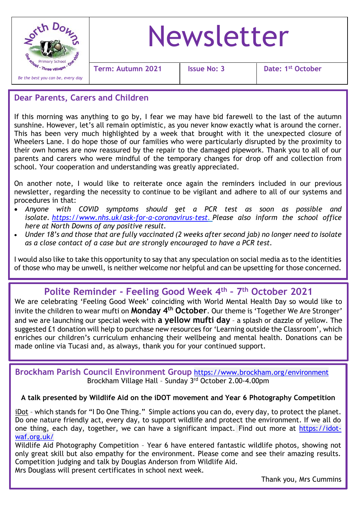

#### **Dear Parents, Carers and Children**

If this morning was anything to go by, I fear we may have bid farewell to the last of the autumn sunshine. However, let's all remain optimistic, as you never know exactly what is around the corner. This has been very much highlighted by a week that brought with it the unexpected closure of Wheelers Lane. I do hope those of our families who were particularly disrupted by the proximity to their own homes are now reassured by the repair to the damaged pipework. Thank you to all of our parents and carers who were mindful of the temporary changes for drop off and collection from school. Your cooperation and understanding was greatly appreciated.

On another note, I would like to reiterate once again the reminders included in our previous newsletter, regarding the necessity to continue to be vigilant and adhere to all of our systems and procedures in that:

- *Anyone with COVID symptoms should get a PCR test as soon as possible and isolate. [https://www.nhs.uk/ask-for-a-coronavirus-test.](https://www.nhs.uk/ask-for-a-coronavirus-test) Please also inform the school office here at North Downs of any positive result.*
- *Under 18's and those that are fully vaccinated (2 weeks after second jab) no longer need to isolate as a close contact of a case but are strongly encouraged to have a PCR test.*

I would also like to take this opportunity to say that any speculation on social media as to the identities of those who may be unwell, is neither welcome nor helpful and can be upsetting for those concerned.

# **Polite Reminder - Feeling Good Week 4th – 7 th October 2021**

We are celebrating 'Feeling Good Week' coinciding with World Mental Health Day so would like to invite the children to wear mufti on **Monday 4th October**. Our theme is 'Together We Are Stronger' and we are launching our special week with **a yellow mufti day** – a splash or dazzle of yellow. The suggested £1 donation will help to purchase new resources for 'Learning outside the Classroom', which enriches our children's curriculum enhancing their wellbeing and mental health. Donations can be made online via Tucasi and, as always, thank you for your continued support.

 **Brockham Parish Council Environment Group** <https://www.brockham.org/environment> Brockham Village Hall – Sunday 3rd October 2.00-4.00pm

#### **A talk presented by Wildlife Aid on the iDOT movement and Year 6 Photography Competition**

iDot – which stands for "I Do One Thing." Simple actions you can do, every day, to protect the planet. Do one nature friendly act, every day, to support wildlife and protect the environment. If we all do one thing, each day, together, we can have a significant impact. Find out more at [https://idot](https://idot-waf.org.uk/)[waf.org.uk/](https://idot-waf.org.uk/)

Wildlife Aid Photography Competition – Year 6 have entered fantastic wildlife photos, showing not only great skill but also empathy for the environment. Please come and see their amazing results. Competition judging and talk by Douglas Anderson from Wildlife Aid.

Mrs Douglass will present certificates in school next week.

Thank you, Mrs Cummins